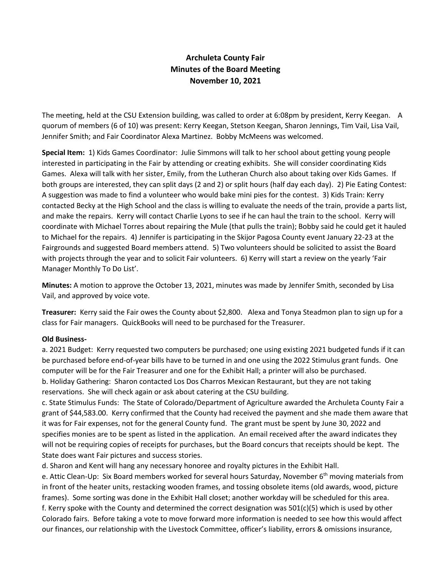## **Archuleta County Fair Minutes of the Board Meeting November 10, 2021**

The meeting, held at the CSU Extension building, was called to order at 6:08pm by president, Kerry Keegan. A quorum of members (6 of 10) was present: Kerry Keegan, Stetson Keegan, Sharon Jennings, Tim Vail, Lisa Vail, Jennifer Smith; and Fair Coordinator Alexa Martinez. Bobby McMeens was welcomed.

**Special Item:** 1) Kids Games Coordinator: Julie Simmons will talk to her school about getting young people interested in participating in the Fair by attending or creating exhibits. She will consider coordinating Kids Games. Alexa will talk with her sister, Emily, from the Lutheran Church also about taking over Kids Games. If both groups are interested, they can split days (2 and 2) or split hours (half day each day). 2) Pie Eating Contest: A suggestion was made to find a volunteer who would bake mini pies for the contest. 3) Kids Train: Kerry contacted Becky at the High School and the class is willing to evaluate the needs of the train, provide a parts list, and make the repairs. Kerry will contact Charlie Lyons to see if he can haul the train to the school. Kerry will coordinate with Michael Torres about repairing the Mule (that pulls the train); Bobby said he could get it hauled to Michael for the repairs. 4) Jennifer is participating in the Skijor Pagosa County event January 22-23 at the Fairgrounds and suggested Board members attend. 5) Two volunteers should be solicited to assist the Board with projects through the year and to solicit Fair volunteers. 6) Kerry will start a review on the yearly 'Fair Manager Monthly To Do List'.

**Minutes:** A motion to approve the October 13, 2021, minutes was made by Jennifer Smith, seconded by Lisa Vail, and approved by voice vote.

**Treasurer:** Kerry said the Fair owes the County about \$2,800. Alexa and Tonya Steadmon plan to sign up for a class for Fair managers. QuickBooks will need to be purchased for the Treasurer.

## **Old Business-**

a. 2021 Budget: Kerry requested two computers be purchased; one using existing 2021 budgeted funds if it can be purchased before end-of-year bills have to be turned in and one using the 2022 Stimulus grant funds. One computer will be for the Fair Treasurer and one for the Exhibit Hall; a printer will also be purchased. b. Holiday Gathering: Sharon contacted Los Dos Charros Mexican Restaurant, but they are not taking reservations. She will check again or ask about catering at the CSU building.

c. State Stimulus Funds: The State of Colorado/Department of Agriculture awarded the Archuleta County Fair a grant of \$44,583.00. Kerry confirmed that the County had received the payment and she made them aware that it was for Fair expenses, not for the general County fund. The grant must be spent by June 30, 2022 and specifies monies are to be spent as listed in the application. An email received after the award indicates they will not be requiring copies of receipts for purchases, but the Board concurs that receipts should be kept. The State does want Fair pictures and success stories.

d. Sharon and Kent will hang any necessary honoree and royalty pictures in the Exhibit Hall.

e. Attic Clean-Up: Six Board members worked for several hours Saturday, November 6<sup>th</sup> moving materials from in front of the heater units, restacking wooden frames, and tossing obsolete items (old awards, wood, picture frames). Some sorting was done in the Exhibit Hall closet; another workday will be scheduled for this area. f. Kerry spoke with the County and determined the correct designation was 501(c)(5) which is used by other Colorado fairs. Before taking a vote to move forward more information is needed to see how this would affect our finances, our relationship with the Livestock Committee, officer's liability, errors & omissions insurance,